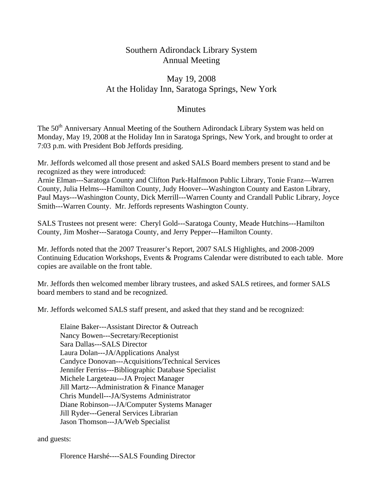## Southern Adirondack Library System Annual Meeting

# May 19, 2008 At the Holiday Inn, Saratoga Springs, New York

## **Minutes**

The 50<sup>th</sup> Anniversary Annual Meeting of the Southern Adirondack Library System was held on Monday, May 19, 2008 at the Holiday Inn in Saratoga Springs, New York, and brought to order at 7:03 p.m. with President Bob Jeffords presiding.

Mr. Jeffords welcomed all those present and asked SALS Board members present to stand and be recognized as they were introduced:

Arnie Elman---Saratoga County and Clifton Park-Halfmoon Public Library, Tonie Franz—Warren County, Julia Helms---Hamilton County, Judy Hoover---Washington County and Easton Library, Paul Mays---Washington County, Dick Merrill---Warren County and Crandall Public Library, Joyce Smith---Warren County. Mr. Jeffords represents Washington County.

SALS Trustees not present were: Cheryl Gold---Saratoga County, Meade Hutchins---Hamilton County, Jim Mosher---Saratoga County, and Jerry Pepper---Hamilton County.

Mr. Jeffords noted that the 2007 Treasurer's Report, 2007 SALS Highlights, and 2008-2009 Continuing Education Workshops, Events & Programs Calendar were distributed to each table. More copies are available on the front table.

Mr. Jeffords then welcomed member library trustees, and asked SALS retirees, and former SALS board members to stand and be recognized.

Mr. Jeffords welcomed SALS staff present, and asked that they stand and be recognized:

 Elaine Baker---Assistant Director & Outreach Nancy Bowen---Secretary/Receptionist Sara Dallas---SALS Director Laura Dolan---JA/Applications Analyst Candyce Donovan---Acquisitions/Technical Services Jennifer Ferriss---Bibliographic Database Specialist Michele Largeteau---JA Project Manager Jill Martz---Administration & Finance Manager Chris Mundell---JA/Systems Administrator Diane Robinson---JA/Computer Systems Manager Jill Ryder---General Services Librarian Jason Thomson---JA/Web Specialist

and guests:

Florence Harshé----SALS Founding Director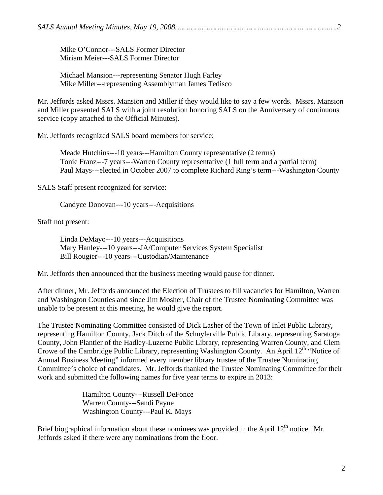*SALS Annual Meeting Minutes, May 19, 2008……………………………………………………………….2* 

 Mike O'Connor---SALS Former Director Miriam Meier---SALS Former Director

 Michael Mansion---representing Senator Hugh Farley Mike Miller---representing Assemblyman James Tedisco

Mr. Jeffords asked Mssrs. Mansion and Miller if they would like to say a few words. Mssrs. Mansion and Miller presented SALS with a joint resolution honoring SALS on the Anniversary of continuous service (copy attached to the Official Minutes).

Mr. Jeffords recognized SALS board members for service:

 Meade Hutchins---10 years---Hamilton County representative (2 terms) Tonie Franz---7 years---Warren County representative (1 full term and a partial term) Paul Mays---elected in October 2007 to complete Richard Ring's term---Washington County

SALS Staff present recognized for service:

Candyce Donovan---10 years---Acquisitions

Staff not present:

 Linda DeMayo---10 years---Acquisitions Mary Hanley---10 years---JA/Computer Services System Specialist Bill Rougier---10 years---Custodian/Maintenance

Mr. Jeffords then announced that the business meeting would pause for dinner.

After dinner, Mr. Jeffords announced the Election of Trustees to fill vacancies for Hamilton, Warren and Washington Counties and since Jim Mosher, Chair of the Trustee Nominating Committee was unable to be present at this meeting, he would give the report.

The Trustee Nominating Committee consisted of Dick Lasher of the Town of Inlet Public Library, representing Hamilton County, Jack Ditch of the Schuylerville Public Library, representing Saratoga County, John Plantier of the Hadley-Luzerne Public Library, representing Warren County, and Clem Crowe of the Cambridge Public Library, representing Washington County. An April 12<sup>th</sup> "Notice of Annual Business Meeting" informed every member library trustee of the Trustee Nominating Committee's choice of candidates. Mr. Jeffords thanked the Trustee Nominating Committee for their work and submitted the following names for five year terms to expire in 2013:

> Hamilton County---Russell DeFonce Warren County---Sandi Payne Washington County---Paul K. Mays

Brief biographical information about these nominees was provided in the April  $12<sup>th</sup>$  notice. Mr. Jeffords asked if there were any nominations from the floor.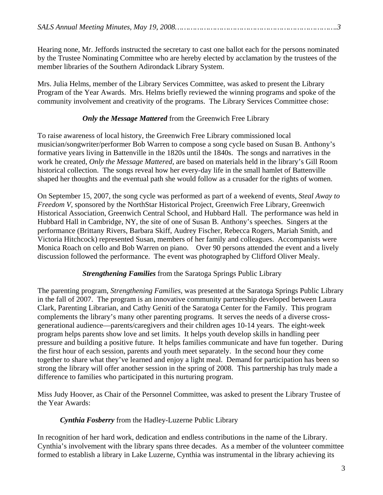Hearing none, Mr. Jeffords instructed the secretary to cast one ballot each for the persons nominated by the Trustee Nominating Committee who are hereby elected by acclamation by the trustees of the member libraries of the Southern Adirondack Library System.

Mrs. Julia Helms, member of the Library Services Committee, was asked to present the Library Program of the Year Awards. Mrs. Helms briefly reviewed the winning programs and spoke of the community involvement and creativity of the programs. The Library Services Committee chose:

## *Only the Message Mattered* from the Greenwich Free Library

To raise awareness of local history, the Greenwich Free Library commissioned local musician/songwriter/performer Bob Warren to compose a song cycle based on Susan B. Anthony's formative years living in Battenville in the 1820s until the 1840s. The songs and narratives in the work he created, *Only the Message Mattered*, are based on materials held in the library's Gill Room historical collection. The songs reveal how her every-day life in the small hamlet of Battenville shaped her thoughts and the eventual path she would follow as a crusader for the rights of women.

On September 15, 2007, the song cycle was performed as part of a weekend of events, *Steal Away to Freedom V*, sponsored by the NorthStar Historical Project, Greenwich Free Library, Greenwich Historical Association, Greenwich Central School, and Hubbard Hall. The performance was held in Hubbard Hall in Cambridge, NY, the site of one of Susan B. Anthony's speeches. Singers at the performance (Brittany Rivers, Barbara Skiff, Audrey Fischer, Rebecca Rogers, Mariah Smith, and Victoria Hitchcock) represented Susan, members of her family and colleagues. Accompanists were Monica Roach on cello and Bob Warren on piano. Over 90 persons attended the event and a lively discussion followed the performance. The event was photographed by Clifford Oliver Mealy.

#### *Strengthening Families* from the Saratoga Springs Public Library

The parenting program, *Strengthening Families*, was presented at the Saratoga Springs Public Library in the fall of 2007. The program is an innovative community partnership developed between Laura Clark, Parenting Librarian, and Cathy Geniti of the Saratoga Center for the Family. This program complements the library's many other parenting programs. It serves the needs of a diverse crossgenerational audience—parents/caregivers and their children ages 10-14 years. The eight-week program helps parents show love and set limits. It helps youth develop skills in handling peer pressure and building a positive future. It helps families communicate and have fun together. During the first hour of each session, parents and youth meet separately. In the second hour they come together to share what they've learned and enjoy a light meal. Demand for participation has been so strong the library will offer another session in the spring of 2008. This partnership has truly made a difference to families who participated in this nurturing program.

Miss Judy Hoover, as Chair of the Personnel Committee, was asked to present the Library Trustee of the Year Awards:

#### *Cynthia Fosberry* from the Hadley-Luzerne Public Library

In recognition of her hard work, dedication and endless contributions in the name of the Library. Cynthia's involvement with the library spans three decades. As a member of the volunteer committee formed to establish a library in Lake Luzerne, Cynthia was instrumental in the library achieving its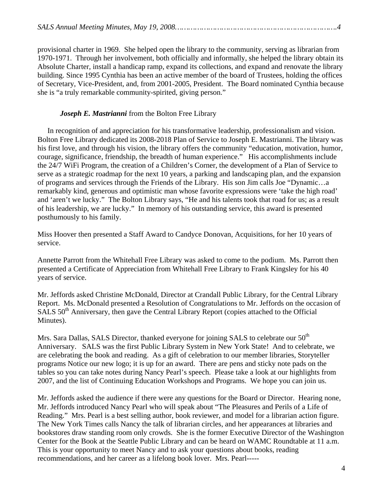provisional charter in 1969. She helped open the library to the community, serving as librarian from 1970-1971. Through her involvement, both officially and informally, she helped the library obtain its Absolute Charter, install a handicap ramp, expand its collections, and expand and renovate the library building. Since 1995 Cynthia has been an active member of the board of Trustees, holding the offices of Secretary, Vice-President, and, from 2001-2005, President. The Board nominated Cynthia because she is "a truly remarkable community-spirited, giving person."

### *Joseph E. Mastrianni* from the Bolton Free Library

In recognition of and appreciation for his transformative leadership, professionalism and vision. Bolton Free Library dedicated its 2008-2018 Plan of Service to Joseph E. Mastrianni. The library was his first love, and through his vision, the library offers the community "education, motivation, humor, courage, significance, friendship, the breadth of human experience." His accomplishments include the 24/7 WiFi Program, the creation of a Children's Corner, the development of a Plan of Service to serve as a strategic roadmap for the next 10 years, a parking and landscaping plan, and the expansion of programs and services through the Friends of the Library. His son Jim calls Joe "Dynamic…a remarkably kind, generous and optimistic man whose favorite expressions were 'take the high road' and 'aren't we lucky." The Bolton Library says, "He and his talents took that road for us; as a result of his leadership, we are lucky." In memory of his outstanding service, this award is presented posthumously to his family.

Miss Hoover then presented a Staff Award to Candyce Donovan, Acquisitions, for her 10 years of service.

Annette Parrott from the Whitehall Free Library was asked to come to the podium. Ms. Parrott then presented a Certificate of Appreciation from Whitehall Free Library to Frank Kingsley for his 40 years of service.

Mr. Jeffords asked Christine McDonald, Director at Crandall Public Library, for the Central Library Report. Ms. McDonald presented a Resolution of Congratulations to Mr. Jeffords on the occasion of SALS 50<sup>th</sup> Anniversary, then gave the Central Library Report (copies attached to the Official Minutes).

Mrs. Sara Dallas, SALS Director, thanked everyone for joining SALS to celebrate our 50<sup>th</sup> Anniversary. SALS was the first Public Library System in New York State! And to celebrate, we are celebrating the book and reading. As a gift of celebration to our member libraries, Storyteller programs Notice our new logo; it is up for an award. There are pens and sticky note pads on the tables so you can take notes during Nancy Pearl's speech. Please take a look at our highlights from 2007, and the list of Continuing Education Workshops and Programs. We hope you can join us.

Mr. Jeffords asked the audience if there were any questions for the Board or Director. Hearing none, Mr. Jeffords introduced Nancy Pearl who will speak about "The Pleasures and Perils of a Life of Reading." Mrs. Pearl is a best selling author, book reviewer, and model for a librarian action figure. The New York Times calls Nancy the talk of librarian circles, and her appearances at libraries and bookstores draw standing room only crowds. She is the former Executive Director of the Washington Center for the Book at the Seattle Public Library and can be heard on WAMC Roundtable at 11 a.m. This is your opportunity to meet Nancy and to ask your questions about books, reading recommendations, and her career as a lifelong book lover. Mrs. Pearl-----